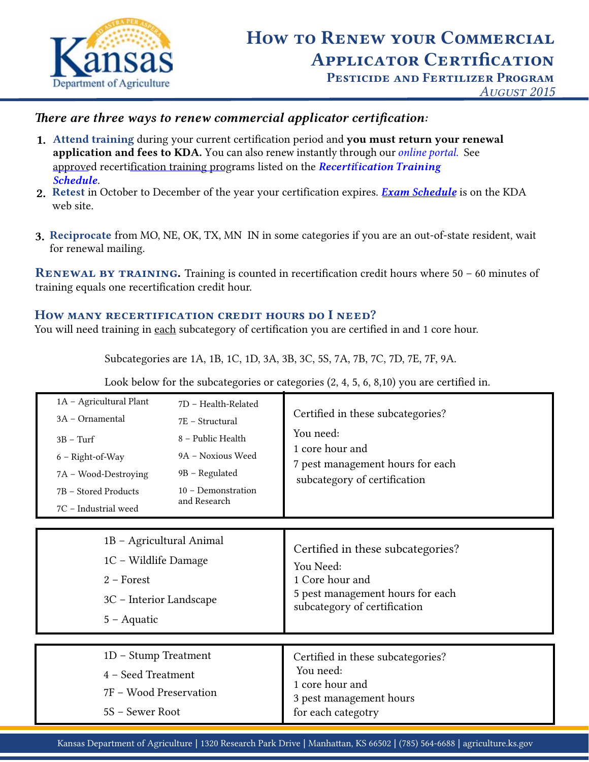

*August 2015*

# *There are three ways to renew commercial applicator certification:*

- **1.** Attend training during your current certification period and you must return your renewal 1. application and fees to KDA. You can also renew instantly through our *[online portal.](https://www.agriculture.ks.gov/divisions-programs/pesticide-fertilizer/renewals)* See [approved recertification training pro](https://portal.kda.ks.gov/PAF/PafTraining/TrainingEventList)grams listed on the *Recerti*f*ication Training Schedule.*
- **2.** Retest in October to December of the year your certification expires. *[Exam Schedule](https://www.agriculture.ks.gov/divisions-programs/pesticide-fertilizer/pesticide-applicator)* is on the KDA 2. web site.
- **3.** Reciprocate from MO, NE, OK, TX, MN IN in some categories if you are an out-of-state resident, wait 3. for renewal mailing.

 *Renewal by training.* Training is counted in recertification credit hours where 50 – 60 minutes of training equals one recertification credit hour.

## *How many recertification credit hours do I need?*

You will need training in each subcategory of certification you are certified in and 1 core hour.

Subcategories are 1A, 1B, 1C, 1D, 3A, 3B, 3C, 5S, 7A, 7B, 7C, 7D, 7E, 7F, 9A.

Look below for the subcategories or categories (2, 4, 5, 6, 8,10) you are certified in.

| 1A - Agricultural Plant<br>3A - Ornamental<br>$3B - Turf$<br>6 - Right-of-Way<br>7A - Wood-Destroying<br>7B – Stored Products<br>7C - Industrial weed | 7D - Health-Related<br>7E - Structural<br>8 - Public Health<br>9A – Noxious Weed<br>9B - Regulated<br>$10 - Demonstration$<br>and Research | Certified in these subcategories?<br>You need:<br>1 core hour and<br>7 pest management hours for each<br>subcategory of certification |
|-------------------------------------------------------------------------------------------------------------------------------------------------------|--------------------------------------------------------------------------------------------------------------------------------------------|---------------------------------------------------------------------------------------------------------------------------------------|
| 1B - Agricultural Animal<br>1C – Wildlife Damage<br>$2$ – Forest<br>3C – Interior Landscape<br>$5 -$ Aquatic                                          |                                                                                                                                            | Certified in these subcategories?<br>You Need:<br>1 Core hour and<br>5 pest management hours for each<br>subcategory of certification |
| 1D - Stump Treatment<br>4 - Seed Treatment<br>7F - Wood Preservation<br>5S – Sewer Root                                                               |                                                                                                                                            | Certified in these subcategories?<br>You need:<br>1 core hour and<br>3 pest management hours<br>for each categotry                    |